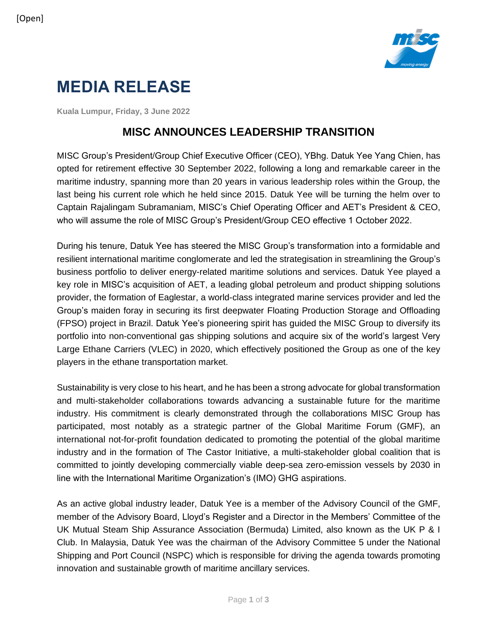

# **MEDIA RELEASE**

**Kuala Lumpur, Friday, 3 June 2022**

# **MISC ANNOUNCES LEADERSHIP TRANSITION**

MISC Group's President/Group Chief Executive Officer (CEO), YBhg. Datuk Yee Yang Chien, has opted for retirement effective 30 September 2022, following a long and remarkable career in the maritime industry, spanning more than 20 years in various leadership roles within the Group, the last being his current role which he held since 2015. Datuk Yee will be turning the helm over to Captain Rajalingam Subramaniam, MISC's Chief Operating Officer and AET's President & CEO, who will assume the role of MISC Group's President/Group CEO effective 1 October 2022.

During his tenure, Datuk Yee has steered the MISC Group's transformation into a formidable and resilient international maritime conglomerate and led the strategisation in streamlining the Group's business portfolio to deliver energy-related maritime solutions and services. Datuk Yee played a key role in MISC's acquisition of AET, a leading global petroleum and product shipping solutions provider, the formation of Eaglestar, a world-class integrated marine services provider and led the Group's maiden foray in securing its first deepwater Floating Production Storage and Offloading (FPSO) project in Brazil. Datuk Yee's pioneering spirit has guided the MISC Group to diversify its portfolio into non-conventional gas shipping solutions and acquire six of the world's largest Very Large Ethane Carriers (VLEC) in 2020, which effectively positioned the Group as one of the key players in the ethane transportation market.

Sustainability is very close to his heart, and he has been a strong advocate for global transformation and multi-stakeholder collaborations towards advancing a sustainable future for the maritime industry. His commitment is clearly demonstrated through the collaborations MISC Group has participated, most notably as a strategic partner of the Global Maritime Forum (GMF), an international not-for-profit foundation dedicated to promoting the potential of the global maritime industry and in the formation of The Castor Initiative, a multi-stakeholder global coalition that is committed to jointly developing commercially viable deep-sea zero-emission vessels by 2030 in line with the International Maritime Organization's (IMO) GHG aspirations.

As an active global industry leader, Datuk Yee is a member of the Advisory Council of the GMF, member of the Advisory Board, Lloyd's Register and a Director in the Members' Committee of the UK Mutual Steam Ship Assurance Association (Bermuda) Limited, also known as the UK P & I Club. In Malaysia, Datuk Yee was the chairman of the Advisory Committee 5 under the National Shipping and Port Council (NSPC) which is responsible for driving the agenda towards promoting innovation and sustainable growth of maritime ancillary services.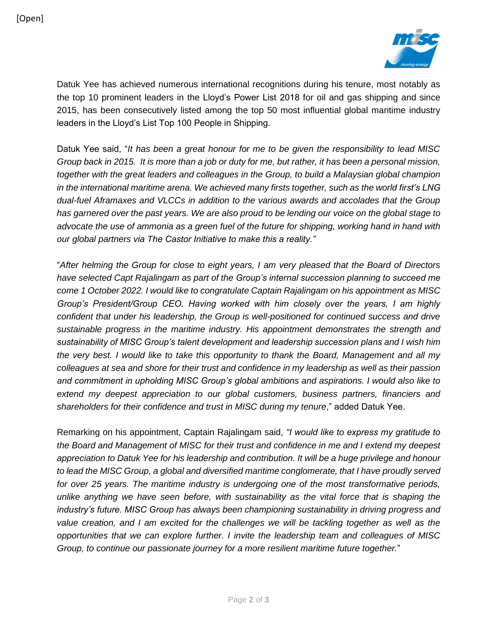

Datuk Yee has achieved numerous international recognitions during his tenure, most notably as the top 10 prominent leaders in the Lloyd's Power List 2018 for oil and gas shipping and since 2015, has been consecutively listed among the top 50 most influential global maritime industry leaders in the Lloyd's List Top 100 People in Shipping.

Datuk Yee said, "*It has been a great honour for me to be given the responsibility to lead MISC Group back in 2015. It is more than a job or duty for me, but rather, it has been a personal mission, together with the great leaders and colleagues in the Group, to build a Malaysian global champion in the international maritime arena. We achieved many firsts together, such as the world first's LNG dual-fuel Aframaxes and VLCCs in addition to the various awards and accolades that the Group has garnered over the past years. We are also proud to be lending our voice on the global stage to advocate the use of ammonia as a green fuel of the future for shipping, working hand in hand with our global partners via The Castor Initiative to make this a reality."*

"*After helming the Group for close to eight years, I am very pleased that the Board of Directors have selected Capt Rajalingam as part of the Group's internal succession planning to succeed me come 1 October 2022. I would like to congratulate Captain Rajalingam on his appointment as MISC Group's President/Group CEO. Having worked with him closely over the years, I am highly confident that under his leadership, the Group is well-positioned for continued success and drive sustainable progress in the maritime industry. His appointment demonstrates the strength and sustainability of MISC Group's talent development and leadership succession plans and I wish him the very best. I would like to take this opportunity to thank the Board, Management and all my colleagues at sea and shore for their trust and confidence in my leadership as well as their passion and commitment in upholding MISC Group's global ambitions and aspirations. I would also like to extend my deepest appreciation to our global customers, business partners, financiers and*  shareholders for their confidence and trust in MISC during my tenure," added Datuk Yee.

Remarking on his appointment, Captain Rajalingam said, *"I would like to express my gratitude to the Board and Management of MISC for their trust and confidence in me and I extend my deepest appreciation to Datuk Yee for his leadership and contribution. It will be a huge privilege and honour to lead the MISC Group, a global and diversified maritime conglomerate, that I have proudly served for over 25 years. The maritime industry is undergoing one of the most transformative periods, unlike anything we have seen before, with sustainability as the vital force that is shaping the industry's future. MISC Group has always been championing sustainability in driving progress and*  value creation, and I am excited for the challenges we will be tackling together as well as the *opportunities that we can explore further. I invite the leadership team and colleagues of MISC Group, to continue our passionate journey for a more resilient maritime future together.*"